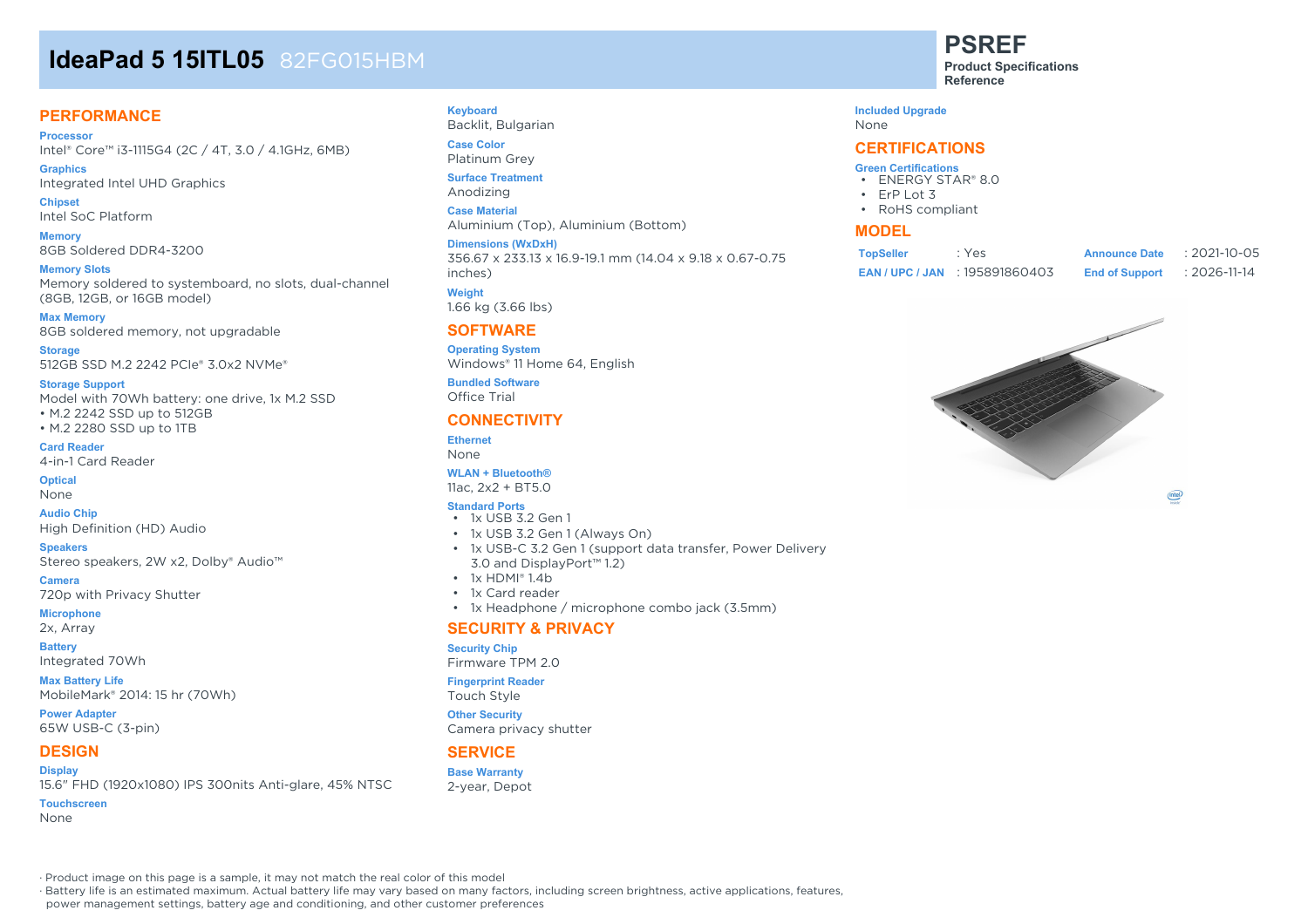# **IdeaPad 5 15ITL05** 82FG015HBM

# **PERFORMANCE**

**Processor** Intel® Core™ i3-1115G4 (2C / 4T, 3.0 / 4.1GHz, 6MB)

**Graphics** Integrated Intel UHD Graphics

**Chipset** Intel SoC Platform

**Memory** 8GB Soldered DDR4-3200

**Memory Slots** Memory soldered to systemboard, no slots, dual-channel (8GB, 12GB, or 16GB model)

**Max Memory** 8GB soldered memory, not upgradable

**Storage** 512GB SSD M.2 2242 PCIe® 3.0x2 NVMe®

**Storage Support**

Model with 70Wh battery: one drive, 1x M.2 SSD • M.2 2242 SSD up to 512GB • M.2 2280 SSD up to 1TB

**Card Reader** 4-in-1 Card Reader

**Optical** None

**Audio Chip** High Definition (HD) Audio

**Speakers** Stereo speakers, 2W x2, Dolby® Audio™

**Camera** 720p with Privacy Shutter

**Microphone**

2x, Array **Battery**

Integrated 70Wh

**Max Battery Life** MobileMark® 2014: 15 hr (70Wh)

**Power Adapter** 65W USB-C (3-pin)

# **DESIGN**

#### **Display** 15.6" FHD (1920x1080) IPS 300nits Anti-glare, 45% NTSC

**Touchscreen**

None

**Keyboard**

Backlit, Bulgarian **Case Color** Platinum Grey

**Surface Treatment**

Anodizing **Case Material**

Aluminium (Top), Aluminium (Bottom)

**Dimensions (WxDxH)** 356.67 x 233.13 x 16.9-19.1 mm (14.04 x 9.18 x 0.67-0.75

inches) **Weight**

1.66 kg (3.66 lbs)

# **SOFTWARE**

**Operating System** Windows® 11 Home 64, English **Bundled Software** Office Trial

### **CONNECTIVITY**

**Ethernet** None

#### **WLAN + Bluetooth®**

11ac, 2x2 + BT5.0

#### **Standard Ports** • 1x USB 3.2 Gen 1

- 1x USB 3.2 Gen 1 (Always On)
- 1x USB-C 3.2 Gen 1 (support data transfer, Power Delivery 3.0 and DisplayPort™ 1.2)
- $\cdot$  1x HDMI® 1.4b
- 1x Card reader
- 1x Headphone / microphone combo jack (3.5mm)

### **SECURITY & PRIVACY**

#### **Security Chip**

Firmware TPM 2.0

#### **Fingerprint Reader**

Touch Style

#### **Other Security**

Camera privacy shutter

# **SERVICE**

### **Base Warranty**

2-year, Depot

**PSREF Product Specifications**

**Reference**

#### **Included Upgrade**

None

## **CERTIFICATIONS**

#### **Green Certifications**

- ENERGY STAR® 8.0
- ErP Lot 3
- RoHS compliant

### **MODEL**

| <b>TopSeller</b> | : Yes                            | <b>Announce Date</b>  | $: 2021 - 10 - 05$ |
|------------------|----------------------------------|-----------------------|--------------------|
|                  | <b>EAN/UPC/JAN: 195891860403</b> | <b>End of Support</b> | : 2026-11-14       |



 $(inte)$ 

· Product image on this page is a sample, it may not match the real color of this model

· Battery life is an estimated maximum. Actual battery life may vary based on many factors, including screen brightness, active applications, features,

power management settings, battery age and conditioning, and other customer preferences